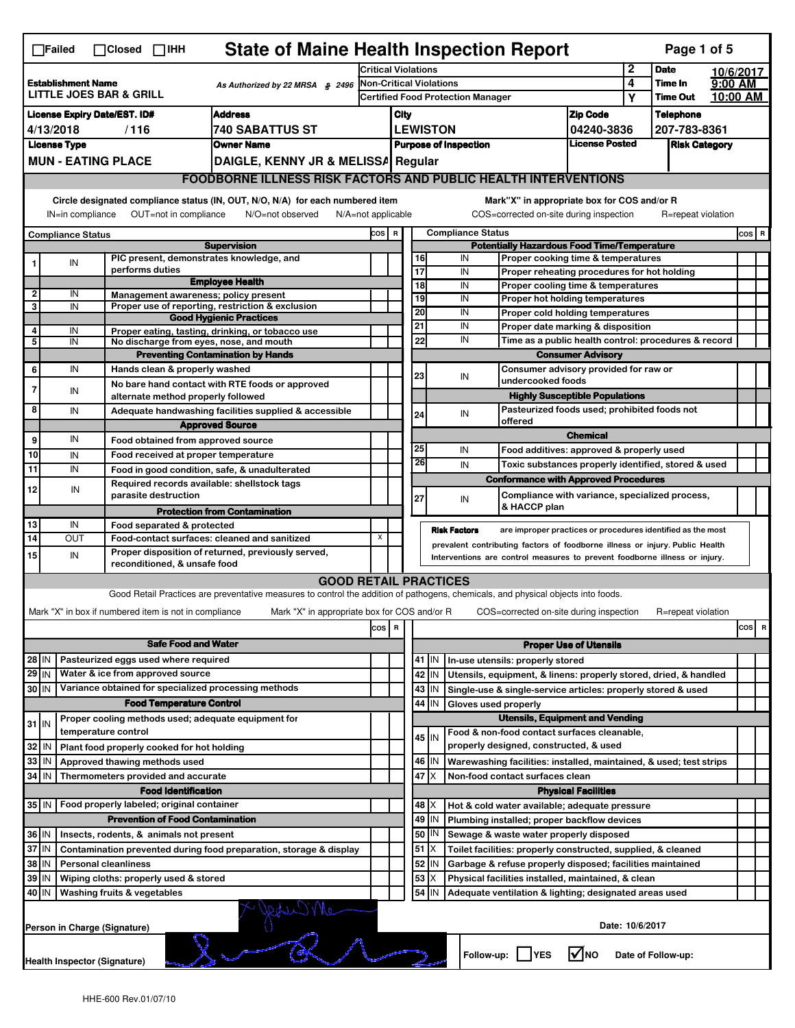|                                                                                                                                                                                                                                                   | <b>State of Maine Health Inspection Report</b><br>Page 1 of 5<br>$\Box$ Failed<br>$\Box$ Closed<br>$\Box$ IHH                                                             |                             |                                                                                           |                                                                                                                                   |                                                    |                                                                                                                                                            |                 |               |                                                                                       |                               |                                                                                        |                                  |                                                             |           |         |   |
|---------------------------------------------------------------------------------------------------------------------------------------------------------------------------------------------------------------------------------------------------|---------------------------------------------------------------------------------------------------------------------------------------------------------------------------|-----------------------------|-------------------------------------------------------------------------------------------|-----------------------------------------------------------------------------------------------------------------------------------|----------------------------------------------------|------------------------------------------------------------------------------------------------------------------------------------------------------------|-----------------|---------------|---------------------------------------------------------------------------------------|-------------------------------|----------------------------------------------------------------------------------------|----------------------------------|-------------------------------------------------------------|-----------|---------|---|
|                                                                                                                                                                                                                                                   |                                                                                                                                                                           |                             |                                                                                           |                                                                                                                                   | <b>Critical Violations</b>                         |                                                                                                                                                            |                 |               |                                                                                       |                               |                                                                                        | 2                                | <b>Date</b>                                                 | 10/6/2017 |         |   |
| <b>Establishment Name</b><br>As Authorized by 22 MRSA § 2496<br>LITTLE JOES BAR & GRILL                                                                                                                                                           |                                                                                                                                                                           |                             | <b>Non-Critical Violations</b>                                                            |                                                                                                                                   |                                                    |                                                                                                                                                            |                 | 4             | Time In                                                                               | 9:00 AM                       |                                                                                        |                                  |                                                             |           |         |   |
|                                                                                                                                                                                                                                                   |                                                                                                                                                                           |                             |                                                                                           |                                                                                                                                   | <b>Certified Food Protection Manager</b>           |                                                                                                                                                            |                 |               |                                                                                       | Υ                             | Time Out                                                                               | 10:00 AM                         |                                                             |           |         |   |
| <b>Address</b><br><b>License Expiry Date/EST. ID#</b><br><b>740 SABATTUS ST</b>                                                                                                                                                                   |                                                                                                                                                                           |                             |                                                                                           |                                                                                                                                   | City                                               |                                                                                                                                                            | <b>LEWISTON</b> |               |                                                                                       | <b>Zip Code</b><br>04240-3836 |                                                                                        | <b>Telephone</b><br>207-783-8361 |                                                             |           |         |   |
| 4/13/2018<br>/116<br><b>Owner Name</b><br><b>License Type</b>                                                                                                                                                                                     |                                                                                                                                                                           |                             |                                                                                           |                                                                                                                                   |                                                    |                                                                                                                                                            |                 |               |                                                                                       | License Posted                |                                                                                        |                                  |                                                             |           |         |   |
| <b>MUN - EATING PLACE</b><br>DAIGLE, KENNY JR & MELISSA Regular                                                                                                                                                                                   |                                                                                                                                                                           |                             |                                                                                           | <b>Purpose of Inspection</b><br><b>Risk Category</b>                                                                              |                                                    |                                                                                                                                                            |                 |               |                                                                                       |                               |                                                                                        |                                  |                                                             |           |         |   |
|                                                                                                                                                                                                                                                   |                                                                                                                                                                           |                             |                                                                                           |                                                                                                                                   |                                                    |                                                                                                                                                            |                 |               |                                                                                       |                               |                                                                                        |                                  |                                                             |           |         |   |
|                                                                                                                                                                                                                                                   | <b>FOODBORNE ILLNESS RISK FACTORS AND PUBLIC HEALTH INTERVENTIONS</b>                                                                                                     |                             |                                                                                           |                                                                                                                                   |                                                    |                                                                                                                                                            |                 |               |                                                                                       |                               |                                                                                        |                                  |                                                             |           |         |   |
|                                                                                                                                                                                                                                                   | Circle designated compliance status (IN, OUT, N/O, N/A) for each numbered item<br>OUT=not in compliance<br>IN=in compliance<br>N/O=not observed<br>$N/A = not$ applicable |                             |                                                                                           |                                                                                                                                   |                                                    |                                                                                                                                                            |                 |               |                                                                                       |                               | Mark"X" in appropriate box for COS and/or R<br>COS=corrected on-site during inspection |                                  | R=repeat violation                                          |           |         |   |
|                                                                                                                                                                                                                                                   | <b>Compliance Status</b>                                                                                                                                                  |                             |                                                                                           |                                                                                                                                   | COS R                                              |                                                                                                                                                            |                 |               | <b>Compliance Status</b>                                                              |                               |                                                                                        |                                  |                                                             |           | $cos$ R |   |
| <b>Supervision</b><br>PIC present, demonstrates knowledge, and                                                                                                                                                                                    |                                                                                                                                                                           |                             |                                                                                           |                                                                                                                                   | <b>Potentially Hazardous Food Time/Temperature</b> |                                                                                                                                                            |                 |               |                                                                                       |                               |                                                                                        |                                  |                                                             |           |         |   |
| 1                                                                                                                                                                                                                                                 | IN                                                                                                                                                                        |                             | performs duties                                                                           |                                                                                                                                   |                                                    |                                                                                                                                                            | 16<br>17        |               | IN<br>IN                                                                              |                               | Proper cooking time & temperatures                                                     |                                  |                                                             |           |         |   |
|                                                                                                                                                                                                                                                   |                                                                                                                                                                           |                             |                                                                                           | <b>Employee Health</b>                                                                                                            |                                                    |                                                                                                                                                            | $\overline{18}$ |               | IN                                                                                    |                               | Proper reheating procedures for hot holding<br>Proper cooling time & temperatures      |                                  |                                                             |           |         |   |
| $\overline{2}$                                                                                                                                                                                                                                    | IN                                                                                                                                                                        |                             |                                                                                           | Management awareness; policy present                                                                                              |                                                    |                                                                                                                                                            | 19              |               | IN                                                                                    |                               | Proper hot holding temperatures                                                        |                                  |                                                             |           |         |   |
| 3                                                                                                                                                                                                                                                 | IN                                                                                                                                                                        |                             |                                                                                           | Proper use of reporting, restriction & exclusion                                                                                  |                                                    |                                                                                                                                                            | 20              |               | IN                                                                                    |                               | Proper cold holding temperatures                                                       |                                  |                                                             |           |         |   |
| 4                                                                                                                                                                                                                                                 | IN                                                                                                                                                                        |                             |                                                                                           | <b>Good Hygienic Practices</b><br>Proper eating, tasting, drinking, or tobacco use                                                |                                                    |                                                                                                                                                            | 21              |               | IN                                                                                    |                               | Proper date marking & disposition                                                      |                                  |                                                             |           |         |   |
| 5                                                                                                                                                                                                                                                 | IN                                                                                                                                                                        |                             |                                                                                           | No discharge from eyes, nose, and mouth                                                                                           |                                                    |                                                                                                                                                            | 22              |               | IN                                                                                    |                               |                                                                                        |                                  | Time as a public health control: procedures & record        |           |         |   |
|                                                                                                                                                                                                                                                   |                                                                                                                                                                           |                             |                                                                                           | <b>Preventing Contamination by Hands</b>                                                                                          |                                                    |                                                                                                                                                            |                 |               |                                                                                       |                               | <b>Consumer Advisory</b>                                                               |                                  |                                                             |           |         |   |
| 6                                                                                                                                                                                                                                                 | IN                                                                                                                                                                        |                             | Hands clean & properly washed                                                             |                                                                                                                                   |                                                    |                                                                                                                                                            | 23              |               | IN                                                                                    |                               | Consumer advisory provided for raw or                                                  |                                  |                                                             |           |         |   |
| $\overline{7}$                                                                                                                                                                                                                                    | IN                                                                                                                                                                        |                             |                                                                                           | No bare hand contact with RTE foods or approved                                                                                   |                                                    |                                                                                                                                                            |                 |               |                                                                                       | undercooked foods             |                                                                                        |                                  |                                                             |           |         |   |
|                                                                                                                                                                                                                                                   |                                                                                                                                                                           |                             | alternate method properly followed                                                        |                                                                                                                                   |                                                    |                                                                                                                                                            |                 |               |                                                                                       |                               | <b>Highly Susceptible Populations</b>                                                  |                                  |                                                             |           |         |   |
| 8                                                                                                                                                                                                                                                 | IN                                                                                                                                                                        |                             |                                                                                           | Adequate handwashing facilities supplied & accessible                                                                             |                                                    |                                                                                                                                                            | 24              |               | IN<br>offered                                                                         |                               | Pasteurized foods used; prohibited foods not                                           |                                  |                                                             |           |         |   |
|                                                                                                                                                                                                                                                   | IN                                                                                                                                                                        |                             |                                                                                           | <b>Approved Source</b>                                                                                                            |                                                    |                                                                                                                                                            |                 |               |                                                                                       |                               | <b>Chemical</b>                                                                        |                                  |                                                             |           |         |   |
| 9<br>10                                                                                                                                                                                                                                           |                                                                                                                                                                           |                             | Food obtained from approved source                                                        |                                                                                                                                   |                                                    |                                                                                                                                                            | 25              |               | IN                                                                                    |                               | Food additives: approved & properly used                                               |                                  |                                                             |           |         |   |
| 11                                                                                                                                                                                                                                                | IN<br>IN                                                                                                                                                                  |                             | Food received at proper temperature                                                       |                                                                                                                                   |                                                    |                                                                                                                                                            | 26              |               | IN                                                                                    |                               |                                                                                        |                                  | Toxic substances properly identified, stored & used         |           |         |   |
|                                                                                                                                                                                                                                                   |                                                                                                                                                                           |                             |                                                                                           | Food in good condition, safe, & unadulterated<br>Required records available: shellstock tags                                      |                                                    |                                                                                                                                                            |                 |               |                                                                                       |                               | <b>Conformance with Approved Procedures</b>                                            |                                  |                                                             |           |         |   |
| 12                                                                                                                                                                                                                                                | IN                                                                                                                                                                        |                             | parasite destruction                                                                      |                                                                                                                                   |                                                    |                                                                                                                                                            | 27              |               | IN                                                                                    |                               |                                                                                        |                                  | Compliance with variance, specialized process,              |           |         |   |
|                                                                                                                                                                                                                                                   |                                                                                                                                                                           |                             |                                                                                           | <b>Protection from Contamination</b>                                                                                              |                                                    |                                                                                                                                                            |                 |               |                                                                                       | & HACCP plan                  |                                                                                        |                                  |                                                             |           |         |   |
| 13                                                                                                                                                                                                                                                | IN                                                                                                                                                                        |                             | Food separated & protected                                                                |                                                                                                                                   |                                                    |                                                                                                                                                            |                 |               | <b>Risk Factors</b>                                                                   |                               |                                                                                        |                                  | are improper practices or procedures identified as the most |           |         |   |
| 14                                                                                                                                                                                                                                                | <b>OUT</b>                                                                                                                                                                |                             |                                                                                           | Food-contact surfaces: cleaned and sanitized                                                                                      | х                                                  |                                                                                                                                                            |                 |               |                                                                                       |                               |                                                                                        |                                  |                                                             |           |         |   |
| 15                                                                                                                                                                                                                                                | IN                                                                                                                                                                        |                             |                                                                                           | Proper disposition of returned, previously served,                                                                                |                                                    | prevalent contributing factors of foodborne illness or injury. Public Health<br>Interventions are control measures to prevent foodborne illness or injury. |                 |               |                                                                                       |                               |                                                                                        |                                  |                                                             |           |         |   |
|                                                                                                                                                                                                                                                   |                                                                                                                                                                           |                             | reconditioned, & unsafe food                                                              |                                                                                                                                   |                                                    |                                                                                                                                                            |                 |               |                                                                                       |                               |                                                                                        |                                  |                                                             |           |         |   |
|                                                                                                                                                                                                                                                   |                                                                                                                                                                           |                             |                                                                                           | <b>GOOD RETAIL PRACTICES</b>                                                                                                      |                                                    |                                                                                                                                                            |                 |               |                                                                                       |                               |                                                                                        |                                  |                                                             |           |         |   |
|                                                                                                                                                                                                                                                   |                                                                                                                                                                           |                             |                                                                                           | Good Retail Practices are preventative measures to control the addition of pathogens, chemicals, and physical objects into foods. |                                                    |                                                                                                                                                            |                 |               |                                                                                       |                               |                                                                                        |                                  |                                                             |           |         |   |
|                                                                                                                                                                                                                                                   |                                                                                                                                                                           |                             | Mark "X" in box if numbered item is not in compliance                                     | Mark "X" in appropriate box for COS and/or R                                                                                      |                                                    |                                                                                                                                                            |                 |               |                                                                                       |                               | COS=corrected on-site during inspection                                                |                                  | R=repeat violation                                          |           |         |   |
|                                                                                                                                                                                                                                                   |                                                                                                                                                                           |                             |                                                                                           |                                                                                                                                   | $\cos$                                             | R                                                                                                                                                          |                 |               |                                                                                       |                               |                                                                                        |                                  |                                                             |           | cos     | R |
|                                                                                                                                                                                                                                                   |                                                                                                                                                                           |                             | <b>Safe Food and Water</b>                                                                |                                                                                                                                   |                                                    |                                                                                                                                                            |                 |               |                                                                                       |                               | <b>Proper Use of Utensils</b>                                                          |                                  |                                                             |           |         |   |
| 28 IN                                                                                                                                                                                                                                             |                                                                                                                                                                           |                             | Pasteurized eggs used where required                                                      |                                                                                                                                   |                                                    |                                                                                                                                                            |                 | 41 J IN       | In-use utensils: properly stored                                                      |                               |                                                                                        |                                  |                                                             |           |         |   |
| 29 IN                                                                                                                                                                                                                                             |                                                                                                                                                                           |                             | Water & ice from approved source                                                          |                                                                                                                                   |                                                    |                                                                                                                                                            |                 | 42   IN       | Utensils, equipment, & linens: properly stored, dried, & handled                      |                               |                                                                                        |                                  |                                                             |           |         |   |
| 30 IN                                                                                                                                                                                                                                             |                                                                                                                                                                           |                             |                                                                                           | Variance obtained for specialized processing methods                                                                              |                                                    |                                                                                                                                                            |                 | 43 IN         | Single-use & single-service articles: properly stored & used                          |                               |                                                                                        |                                  |                                                             |           |         |   |
|                                                                                                                                                                                                                                                   |                                                                                                                                                                           |                             | <b>Food Temperature Control</b>                                                           |                                                                                                                                   |                                                    |                                                                                                                                                            |                 | 44   IN       | Gloves used properly                                                                  |                               |                                                                                        |                                  |                                                             |           |         |   |
| $31$ IN                                                                                                                                                                                                                                           |                                                                                                                                                                           |                             |                                                                                           | Proper cooling methods used; adequate equipment for                                                                               |                                                    |                                                                                                                                                            |                 |               |                                                                                       |                               | <b>Utensils, Equipment and Vending</b>                                                 |                                  |                                                             |           |         |   |
|                                                                                                                                                                                                                                                   |                                                                                                                                                                           | temperature control         |                                                                                           |                                                                                                                                   |                                                    |                                                                                                                                                            |                 | $45$ IN       | Food & non-food contact surfaces cleanable,<br>properly designed, constructed, & used |                               |                                                                                        |                                  |                                                             |           |         |   |
| 32<br>33                                                                                                                                                                                                                                          | l IN                                                                                                                                                                      |                             | Plant food properly cooked for hot holding                                                |                                                                                                                                   |                                                    |                                                                                                                                                            |                 |               |                                                                                       |                               |                                                                                        |                                  |                                                             |           |         |   |
| 34                                                                                                                                                                                                                                                | IN<br>IN                                                                                                                                                                  |                             | Approved thawing methods used<br>Thermometers provided and accurate                       |                                                                                                                                   |                                                    |                                                                                                                                                            | 47              | 46   IN<br>ΙX | Warewashing facilities: installed, maintained, & used; test strips                    |                               |                                                                                        |                                  |                                                             |           |         |   |
|                                                                                                                                                                                                                                                   |                                                                                                                                                                           |                             | <b>Food Identification</b>                                                                |                                                                                                                                   |                                                    |                                                                                                                                                            |                 |               | Non-food contact surfaces clean                                                       |                               | <b>Physical Facilities</b>                                                             |                                  |                                                             |           |         |   |
|                                                                                                                                                                                                                                                   |                                                                                                                                                                           |                             | 35 IN   Food properly labeled; original container                                         |                                                                                                                                   |                                                    |                                                                                                                                                            |                 | 48   X        | Hot & cold water available; adequate pressure                                         |                               |                                                                                        |                                  |                                                             |           |         |   |
|                                                                                                                                                                                                                                                   |                                                                                                                                                                           |                             | <b>Prevention of Food Contamination</b>                                                   |                                                                                                                                   |                                                    |                                                                                                                                                            |                 | 49 IN         | Plumbing installed; proper backflow devices                                           |                               |                                                                                        |                                  |                                                             |           |         |   |
| 36 IN                                                                                                                                                                                                                                             |                                                                                                                                                                           |                             |                                                                                           |                                                                                                                                   |                                                    |                                                                                                                                                            |                 | 50   IN       |                                                                                       |                               |                                                                                        |                                  |                                                             |           |         |   |
| Insects, rodents, & animals not present<br>Sewage & waste water properly disposed<br>37 IN<br>$51$ $\times$<br>Contamination prevented during food preparation, storage & display<br>Toilet facilities: properly constructed, supplied, & cleaned |                                                                                                                                                                           |                             |                                                                                           |                                                                                                                                   |                                                    |                                                                                                                                                            |                 |               |                                                                                       |                               |                                                                                        |                                  |                                                             |           |         |   |
|                                                                                                                                                                                                                                                   | 38 IN<br><b>Personal cleanliness</b>                                                                                                                                      |                             |                                                                                           |                                                                                                                                   |                                                    |                                                                                                                                                            |                 | 52 IN         | Garbage & refuse properly disposed; facilities maintained                             |                               |                                                                                        |                                  |                                                             |           |         |   |
| 39<br>53<br>ΙM<br>Wiping cloths: properly used & stored                                                                                                                                                                                           |                                                                                                                                                                           |                             |                                                                                           |                                                                                                                                   | х                                                  | Physical facilities installed, maintained, & clean                                                                                                         |                 |               |                                                                                       |                               |                                                                                        |                                  |                                                             |           |         |   |
| 40                                                                                                                                                                                                                                                | l IN                                                                                                                                                                      | Washing fruits & vegetables |                                                                                           |                                                                                                                                   |                                                    |                                                                                                                                                            |                 | 54 IN         | Adequate ventilation & lighting; designated areas used                                |                               |                                                                                        |                                  |                                                             |           |         |   |
|                                                                                                                                                                                                                                                   | Date: 10/6/2017<br>Person in Charge (Signature)                                                                                                                           |                             |                                                                                           |                                                                                                                                   |                                                    |                                                                                                                                                            |                 |               |                                                                                       |                               |                                                                                        |                                  |                                                             |           |         |   |
|                                                                                                                                                                                                                                                   |                                                                                                                                                                           |                             | l√lno<br><b>YES</b><br>Follow-up:  <br>Date of Follow-up:<br>Health Inspector (Signature) |                                                                                                                                   |                                                    |                                                                                                                                                            |                 |               |                                                                                       |                               |                                                                                        |                                  |                                                             |           |         |   |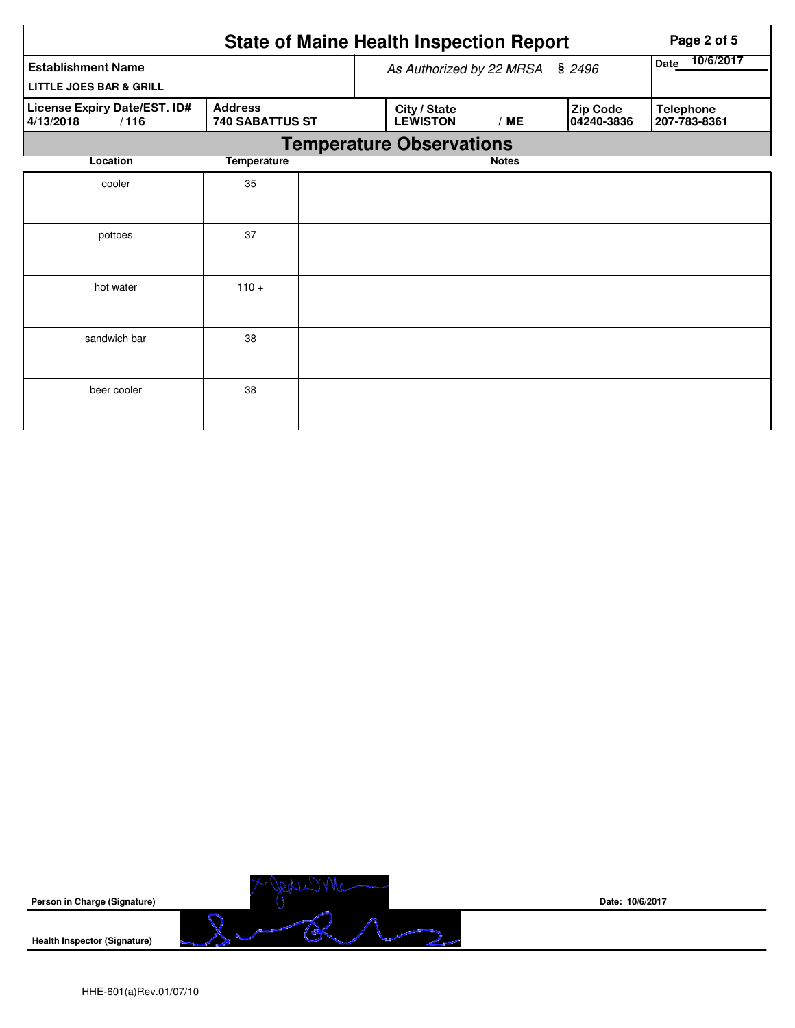|                                                   |                                   |                                        | <b>State of Maine Health Inspection Report</b> | Page 2 of 5  |                        |                                  |  |  |
|---------------------------------------------------|-----------------------------------|----------------------------------------|------------------------------------------------|--------------|------------------------|----------------------------------|--|--|
| <b>Establishment Name</b>                         |                                   | As Authorized by 22 MRSA               | 10/6/2017<br><b>Date</b>                       |              |                        |                                  |  |  |
| <b>LITTLE JOES BAR &amp; GRILL</b>                |                                   |                                        |                                                |              |                        |                                  |  |  |
| License Expiry Date/EST. ID#<br>4/13/2018<br>/116 | <b>Address</b><br>740 SABATTUS ST | City / State<br><b>LEWISTON</b><br>/ME |                                                |              | Zip Code<br>04240-3836 | <b>Telephone</b><br>207-783-8361 |  |  |
|                                                   |                                   |                                        | <b>Temperature Observations</b>                |              |                        |                                  |  |  |
| Location                                          | <b>Temperature</b>                |                                        |                                                | <b>Notes</b> |                        |                                  |  |  |
| cooler                                            | 35                                |                                        |                                                |              |                        |                                  |  |  |
|                                                   |                                   |                                        |                                                |              |                        |                                  |  |  |
| pottoes                                           | 37                                |                                        |                                                |              |                        |                                  |  |  |
|                                                   |                                   |                                        |                                                |              |                        |                                  |  |  |
| hot water                                         | $110 +$                           |                                        |                                                |              |                        |                                  |  |  |
|                                                   |                                   |                                        |                                                |              |                        |                                  |  |  |
| sandwich bar                                      | 38                                |                                        |                                                |              |                        |                                  |  |  |
|                                                   |                                   |                                        |                                                |              |                        |                                  |  |  |
| beer cooler                                       | 38                                |                                        |                                                |              |                        |                                  |  |  |
|                                                   |                                   |                                        |                                                |              |                        |                                  |  |  |

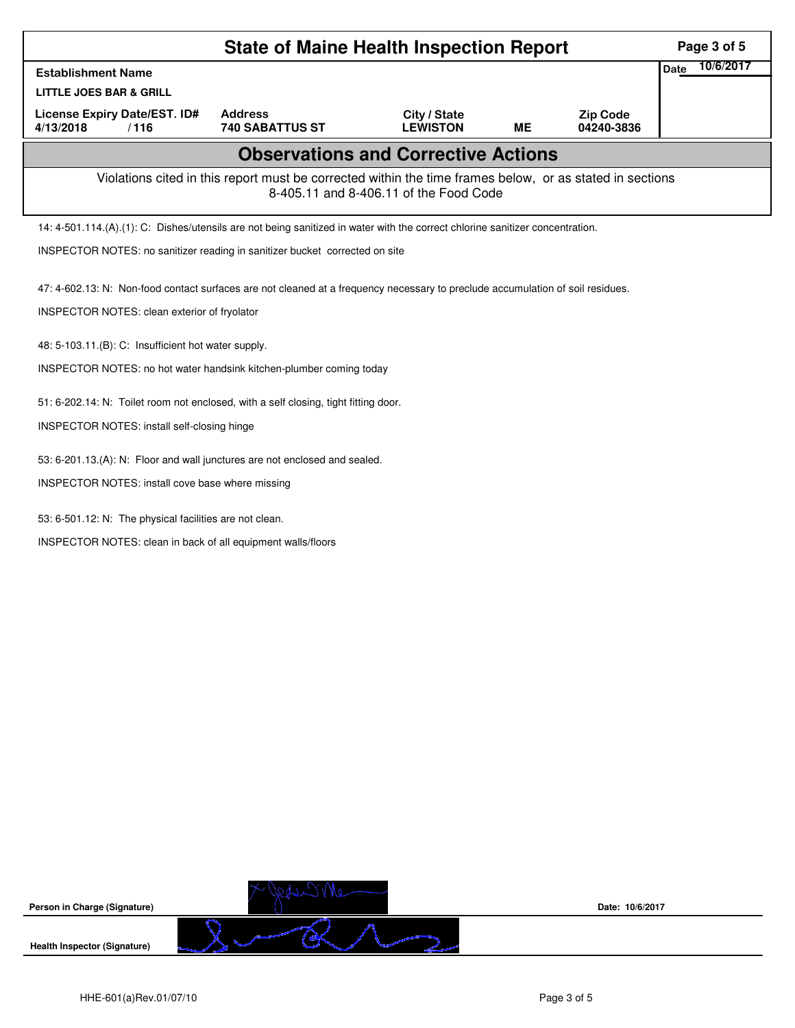| <b>State of Maine Health Inspection Report</b>                                                                                 |                                                                                                          |                                            |           |                               |             |           |
|--------------------------------------------------------------------------------------------------------------------------------|----------------------------------------------------------------------------------------------------------|--------------------------------------------|-----------|-------------------------------|-------------|-----------|
| <b>Establishment Name</b>                                                                                                      |                                                                                                          |                                            |           |                               | <b>Date</b> | 10/6/2017 |
| <b>LITTLE JOES BAR &amp; GRILL</b>                                                                                             |                                                                                                          |                                            |           |                               |             |           |
| <b>License Expiry Date/EST. ID#</b><br>4/13/2018<br>/116                                                                       | <b>Address</b><br><b>740 SABATTUS ST</b>                                                                 | City / State<br><b>LEWISTON</b>            | <b>ME</b> | <b>Zip Code</b><br>04240-3836 |             |           |
|                                                                                                                                |                                                                                                          | <b>Observations and Corrective Actions</b> |           |                               |             |           |
|                                                                                                                                | Violations cited in this report must be corrected within the time frames below, or as stated in sections | 8-405.11 and 8-406.11 of the Food Code     |           |                               |             |           |
| 14: 4-501.114.(A).(1): C: Dishes/utensils are not being sanitized in water with the correct chlorine sanitizer concentration.  |                                                                                                          |                                            |           |                               |             |           |
| INSPECTOR NOTES: no sanitizer reading in sanitizer bucket corrected on site                                                    |                                                                                                          |                                            |           |                               |             |           |
| 47: 4-602.13: N: Non-food contact surfaces are not cleaned at a frequency necessary to preclude accumulation of soil residues. |                                                                                                          |                                            |           |                               |             |           |
| INSPECTOR NOTES: clean exterior of fryolator                                                                                   |                                                                                                          |                                            |           |                               |             |           |
| 48: 5-103.11.(B): C: Insufficient hot water supply.                                                                            |                                                                                                          |                                            |           |                               |             |           |
| INSPECTOR NOTES: no hot water handsink kitchen-plumber coming today                                                            |                                                                                                          |                                            |           |                               |             |           |
| 51: 6-202.14: N: Toilet room not enclosed, with a self closing, tight fitting door.                                            |                                                                                                          |                                            |           |                               |             |           |
| INSPECTOR NOTES: install self-closing hinge                                                                                    |                                                                                                          |                                            |           |                               |             |           |
| 53: 6-201.13.(A): N: Floor and wall junctures are not enclosed and sealed.                                                     |                                                                                                          |                                            |           |                               |             |           |
| INSPECTOR NOTES: install cove base where missing                                                                               |                                                                                                          |                                            |           |                               |             |           |
|                                                                                                                                |                                                                                                          |                                            |           |                               |             |           |
| 53: 6-501.12: N: The physical facilities are not clean.                                                                        |                                                                                                          |                                            |           |                               |             |           |
| INSPECTOR NOTES: clean in back of all equipment walls/floors                                                                   |                                                                                                          |                                            |           |                               |             |           |
|                                                                                                                                |                                                                                                          |                                            |           |                               |             |           |
|                                                                                                                                |                                                                                                          |                                            |           |                               |             |           |
|                                                                                                                                |                                                                                                          |                                            |           |                               |             |           |
|                                                                                                                                |                                                                                                          |                                            |           |                               |             |           |
|                                                                                                                                |                                                                                                          |                                            |           |                               |             |           |
|                                                                                                                                |                                                                                                          |                                            |           |                               |             |           |
|                                                                                                                                |                                                                                                          |                                            |           |                               |             |           |
|                                                                                                                                |                                                                                                          |                                            |           |                               |             |           |
|                                                                                                                                |                                                                                                          |                                            |           |                               |             |           |
|                                                                                                                                |                                                                                                          |                                            |           |                               |             |           |
|                                                                                                                                |                                                                                                          |                                            |           |                               |             |           |



**Date: 10/6/2017**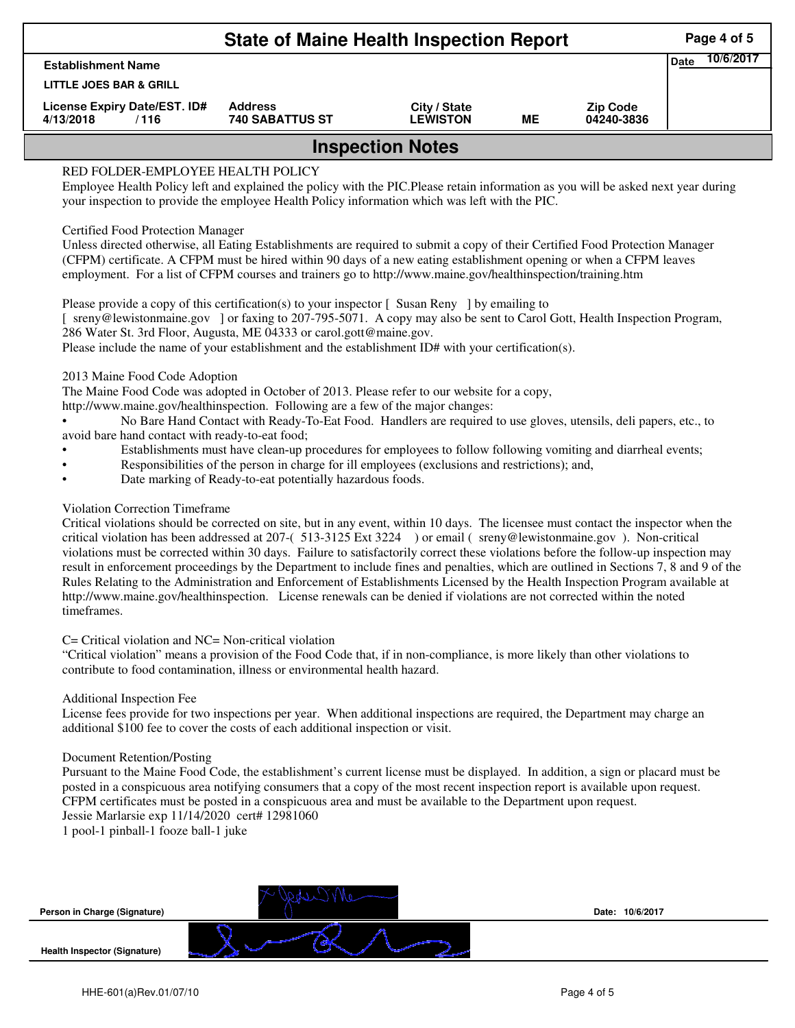|                                                   | <b>State of Maine Health Inspection Report</b> |                                 |    |                               |      | Page 4 of 5 |  |  |  |
|---------------------------------------------------|------------------------------------------------|---------------------------------|----|-------------------------------|------|-------------|--|--|--|
| <b>Establishment Name</b>                         |                                                |                                 |    |                               | Date | 10/6/2017   |  |  |  |
| LITTLE JOES BAR & GRILL                           |                                                |                                 |    |                               |      |             |  |  |  |
| License Expiry Date/EST. ID#<br>4/13/2018<br>/116 | <b>Address</b><br><b>740 SABATTUS ST</b>       | City / State<br><b>LEWISTON</b> | ME | <b>Zip Code</b><br>04240-3836 |      |             |  |  |  |
| <b>Inspection Notes</b>                           |                                                |                                 |    |                               |      |             |  |  |  |

# RED FOLDER-EMPLOYEE HEALTH POLICY

Employee Health Policy left and explained the policy with the PIC.Please retain information as you will be asked next year during your inspection to provide the employee Health Policy information which was left with the PIC.

## Certified Food Protection Manager

Unless directed otherwise, all Eating Establishments are required to submit a copy of their Certified Food Protection Manager (CFPM) certificate. A CFPM must be hired within 90 days of a new eating establishment opening or when a CFPM leaves employment. For a list of CFPM courses and trainers go to http://www.maine.gov/healthinspection/training.htm

Please provide a copy of this certification(s) to your inspector [Susan Reny ] by emailing to [ sreny@lewistonmaine.gov ] or faxing to 207-795-5071. A copy may also be sent to Carol Gott, Health Inspection Program, 286 Water St. 3rd Floor, Augusta, ME 04333 or carol.gott@maine.gov. Please include the name of your establishment and the establishment ID# with your certification(s).

2013 Maine Food Code Adoption

The Maine Food Code was adopted in October of 2013. Please refer to our website for a copy,

http://www.maine.gov/healthinspection. Following are a few of the major changes:

• No Bare Hand Contact with Ready-To-Eat Food. Handlers are required to use gloves, utensils, deli papers, etc., to avoid bare hand contact with ready-to-eat food;

- Establishments must have clean-up procedures for employees to follow following vomiting and diarrheal events;
- Responsibilities of the person in charge for ill employees (exclusions and restrictions); and,
- Date marking of Ready-to-eat potentially hazardous foods.

## Violation Correction Timeframe

Critical violations should be corrected on site, but in any event, within 10 days. The licensee must contact the inspector when the critical violation has been addressed at 207-( 513-3125 Ext 3224 ) or email ( sreny@lewistonmaine.gov ). Non-critical violations must be corrected within 30 days. Failure to satisfactorily correct these violations before the follow-up inspection may result in enforcement proceedings by the Department to include fines and penalties, which are outlined in Sections 7, 8 and 9 of the Rules Relating to the Administration and Enforcement of Establishments Licensed by the Health Inspection Program available at http://www.maine.gov/healthinspection. License renewals can be denied if violations are not corrected within the noted timeframes.

## C= Critical violation and NC= Non-critical violation

"Critical violation" means a provision of the Food Code that, if in non-compliance, is more likely than other violations to contribute to food contamination, illness or environmental health hazard.

## Additional Inspection Fee

License fees provide for two inspections per year. When additional inspections are required, the Department may charge an additional \$100 fee to cover the costs of each additional inspection or visit.

## Document Retention/Posting

Pursuant to the Maine Food Code, the establishment's current license must be displayed. In addition, a sign or placard must be posted in a conspicuous area notifying consumers that a copy of the most recent inspection report is available upon request. CFPM certificates must be posted in a conspicuous area and must be available to the Department upon request. Jessie Marlarsie exp 11/14/2020 cert# 12981060

1 pool-1 pinball-1 fooze ball-1 juke